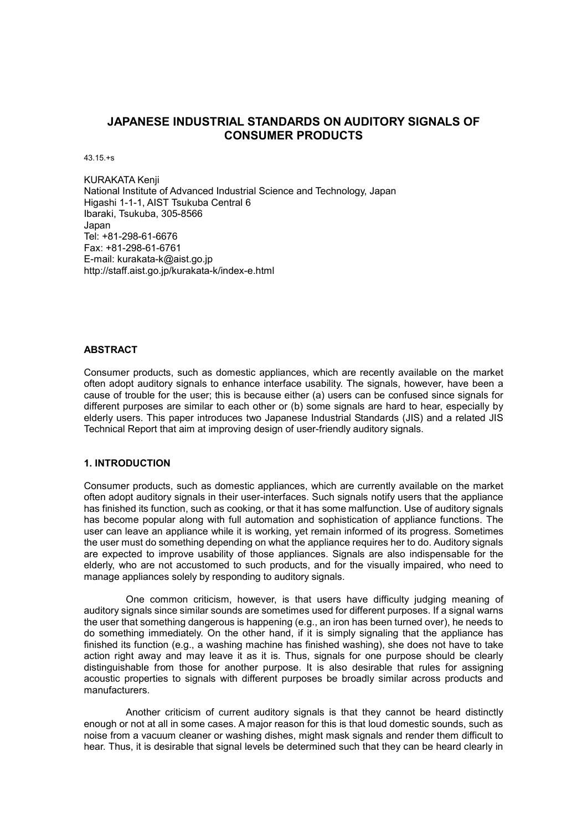# **JAPANESE INDUSTRIAL STANDARDS ON AUDITORY SIGNALS OF CONSUMER PRODUCTS**

43.15.+s

KURAKATA Kenji National Institute of Advanced Industrial Science and Technology, Japan Higashi 1-1-1, AIST Tsukuba Central 6 Ibaraki, Tsukuba, 305-8566 Japan Tel: +81-298-61-6676 Fax: +81-298-61-6761 E-mail: kurakata-k@aist.go.jp http://staff.aist.go.jp/kurakata-k/index-e.html

# **ABSTRACT**

Consumer products, such as domestic appliances, which are recently available on the market often adopt auditory signals to enhance interface usability. The signals, however, have been a cause of trouble for the user; this is because either (a) users can be confused since signals for different purposes are similar to each other or (b) some signals are hard to hear, especially by elderly users. This paper introduces two Japanese Industrial Standards (JIS) and a related JIS Technical Report that aim at improving design of user-friendly auditory signals.

### **1. INTRODUCTION**

Consumer products, such as domestic appliances, which are currently available on the market often adopt auditory signals in their user-interfaces. Such signals notify users that the appliance has finished its function, such as cooking, or that it has some malfunction. Use of auditory signals has become popular along with full automation and sophistication of appliance functions. The user can leave an appliance while it is working, yet remain informed of its progress. Sometimes the user must do something depending on what the appliance requires her to do. Auditory signals are expected to improve usability of those appliances. Signals are also indispensable for the elderly, who are not accustomed to such products, and for the visually impaired, who need to manage appliances solely by responding to auditory signals.

One common criticism, however, is that users have difficulty judging meaning of auditory signals since similar sounds are sometimes used for different purposes. If a signal warns the user that something dangerous is happening (e.g., an iron has been turned over), he needs to do something immediately. On the other hand, if it is simply signaling that the appliance has finished its function (e.g., a washing machine has finished washing), she does not have to take action right away and may leave it as it is. Thus, signals for one purpose should be clearly distinguishable from those for another purpose. It is also desirable that rules for assigning acoustic properties to signals with different purposes be broadly similar across products and manufacturers.

Another criticism of current auditory signals is that they cannot be heard distinctly enough or not at all in some cases. A major reason for this is that loud domestic sounds, such as noise from a vacuum cleaner or washing dishes, might mask signals and render them difficult to hear. Thus, it is desirable that signal levels be determined such that they can be heard clearly in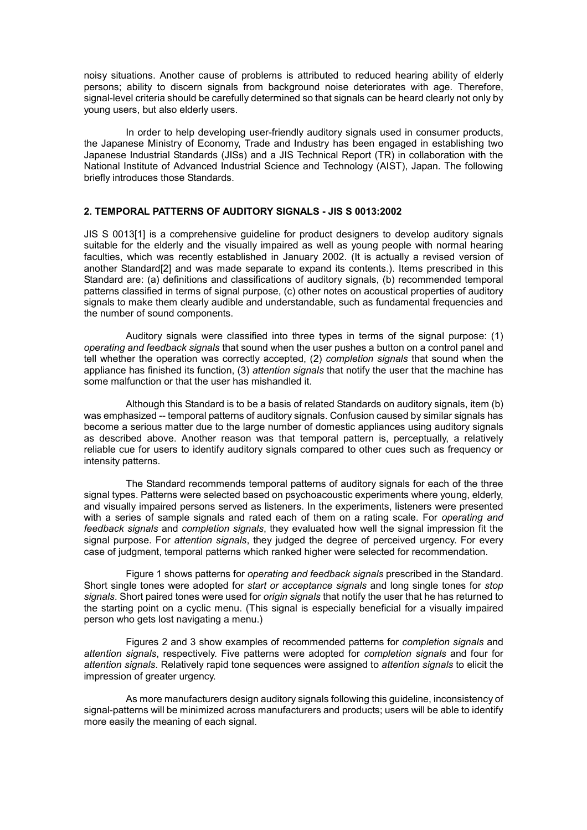noisy situations. Another cause of problems is attributed to reduced hearing ability of elderly persons; ability to discern signals from background noise deteriorates with age. Therefore, signal-level criteria should be carefully determined so that signals can be heard clearly not only by young users, but also elderly users.

In order to help developing user-friendly auditory signals used in consumer products, the Japanese Ministry of Economy, Trade and Industry has been engaged in establishing two Japanese Industrial Standards (JISs) and a JIS Technical Report (TR) in collaboration with the National Institute of Advanced Industrial Science and Technology (AIST), Japan. The following briefly introduces those Standards.

# **2. TEMPORAL PATTERNS OF AUDITORY SIGNALS - JIS S 0013:2002**

JIS S 0013[1] is a comprehensive guideline for product designers to develop auditory signals suitable for the elderly and the visually impaired as well as young people with normal hearing faculties, which was recently established in January 2002. (It is actually a revised version of another Standard[2] and was made separate to expand its contents.). Items prescribed in this Standard are: (a) definitions and classifications of auditory signals, (b) recommended temporal patterns classified in terms of signal purpose, (c) other notes on acoustical properties of auditory signals to make them clearly audible and understandable, such as fundamental frequencies and the number of sound components.

Auditory signals were classified into three types in terms of the signal purpose: (1) *operating and feedback signals* that sound when the user pushes a button on a control panel and tell whether the operation was correctly accepted, (2) *completion signals* that sound when the appliance has finished its function, (3) *attention signals* that notify the user that the machine has some malfunction or that the user has mishandled it.

Although this Standard is to be a basis of related Standards on auditory signals, item (b) was emphasized -- temporal patterns of auditory signals. Confusion caused by similar signals has become a serious matter due to the large number of domestic appliances using auditory signals as described above. Another reason was that temporal pattern is, perceptually, a relatively reliable cue for users to identify auditory signals compared to other cues such as frequency or intensity patterns.

The Standard recommends temporal patterns of auditory signals for each of the three signal types. Patterns were selected based on psychoacoustic experiments where young, elderly, and visually impaired persons served as listeners. In the experiments, listeners were presented with a series of sample signals and rated each of them on a rating scale. For *operating and feedback signals* and *completion signals*, they evaluated how well the signal impression fit the signal purpose. For *attention signals*, they judged the degree of perceived urgency. For every case of judgment, temporal patterns which ranked higher were selected for recommendation.

Figure 1 shows patterns for *operating and feedback signals* prescribed in the Standard. Short single tones were adopted for *start or acceptance signals* and long single tones for *stop signals*. Short paired tones were used for *origin signals* that notify the user that he has returned to the starting point on a cyclic menu. (This signal is especially beneficial for a visually impaired person who gets lost navigating a menu.)

Figures 2 and 3 show examples of recommended patterns for *completion signals* and *attention signals*, respectively. Five patterns were adopted for *completion signals* and four for *attention signals*. Relatively rapid tone sequences were assigned to *attention signals* to elicit the impression of greater urgency.

As more manufacturers design auditory signals following this guideline, inconsistency of signal-patterns will be minimized across manufacturers and products; users will be able to identify more easily the meaning of each signal.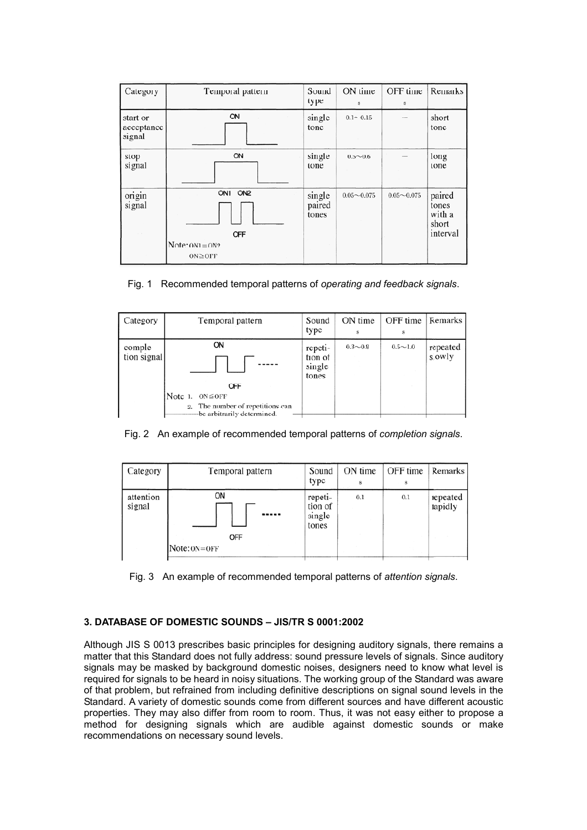| Category                                        | Temporal pattern                                     | Sound<br>type             | ON time<br>s   | OFF time<br>s  | Remarks                                        |
|-------------------------------------------------|------------------------------------------------------|---------------------------|----------------|----------------|------------------------------------------------|
| start or<br>acceptance<br>signal                | ON                                                   | single<br>tone            | $0.1 - 0.15$   |                | short<br>tone                                  |
| stop<br>signal                                  | ON                                                   | single<br>tone            | $0.5 \sim 0.6$ |                | long<br>tone                                   |
| origin<br>signal<br>$\mathcal{L} = \mathcal{R}$ | ON1 ON2<br>OFF<br>$Note: ON1 = ON2$<br>$ON \geq OFF$ | single<br>paired<br>tones | $0.05 - 0.075$ | $0.05 - 0.075$ | paired<br>tones<br>with a<br>short<br>interval |

Fig. 1 Recommended temporal patterns of *operating and feedback signals*.

| Category               | Temporal pattern                                                                                  | Sound<br>type                         | ON time<br>g | OFF time       | Remarks            |
|------------------------|---------------------------------------------------------------------------------------------------|---------------------------------------|--------------|----------------|--------------------|
| comple-<br>tion signal | <b>ON</b>                                                                                         | repeti-<br>tion of<br>single<br>tones | $0.3 - 0.8$  | $0.5 \sim 1.0$ | repeated<br>slowly |
|                        | OFF<br>Note 1.<br>$ON \leq OFF$<br>2. The number of repetitions can<br>be arbitrarily determined. |                                       |              |                |                    |

Fig. 2 An example of recommended temporal patterns of *completion signals*.

| Category            | Temporal pattern                              | Sound<br>type                         | ON time | OFF time<br>s | Remarks             |
|---------------------|-----------------------------------------------|---------------------------------------|---------|---------------|---------------------|
| attention<br>signal | ON<br>-----<br><b>OFF</b><br>$Note: ON = OFF$ | repeti-<br>tion of<br>single<br>tones | 0.1     | 0.1           | repeated<br>rapidly |



# **3. DATABASE OF DOMESTIC SOUNDS – JIS/TR S 0001:2002**

Although JIS S 0013 prescribes basic principles for designing auditory signals, there remains a matter that this Standard does not fully address: sound pressure levels of signals. Since auditory signals may be masked by background domestic noises, designers need to know what level is required for signals to be heard in noisy situations. The working group of the Standard was aware of that problem, but refrained from including definitive descriptions on signal sound levels in the Standard. A variety of domestic sounds come from different sources and have different acoustic properties. They may also differ from room to room. Thus, it was not easy either to propose a method for designing signals which are audible against domestic sounds or make recommendations on necessary sound levels.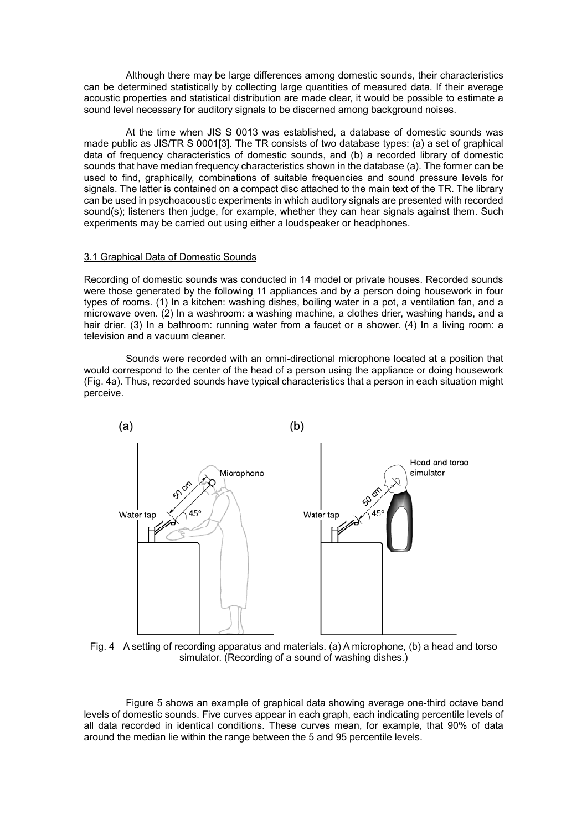Although there may be large differences among domestic sounds, their characteristics can be determined statistically by collecting large quantities of measured data. If their average acoustic properties and statistical distribution are made clear, it would be possible to estimate a sound level necessary for auditory signals to be discerned among background noises.

At the time when JIS S 0013 was established, a database of domestic sounds was made public as JIS/TR S 0001[3]. The TR consists of two database types: (a) a set of graphical data of frequency characteristics of domestic sounds, and (b) a recorded library of domestic sounds that have median frequency characteristics shown in the database (a). The former can be used to find, graphically, combinations of suitable frequencies and sound pressure levels for signals. The latter is contained on a compact disc attached to the main text of the TR. The library can be used in psychoacoustic experiments in which auditory signals are presented with recorded sound(s); listeners then judge, for example, whether they can hear signals against them. Such experiments may be carried out using either a loudspeaker or headphones.

# 3.1 Graphical Data of Domestic Sounds

Recording of domestic sounds was conducted in 14 model or private houses. Recorded sounds were those generated by the following 11 appliances and by a person doing housework in four types of rooms. (1) In a kitchen: washing dishes, boiling water in a pot, a ventilation fan, and a microwave oven. (2) In a washroom: a washing machine, a clothes drier, washing hands, and a hair drier. (3) In a bathroom: running water from a faucet or a shower. (4) In a living room: a television and a vacuum cleaner.

Sounds were recorded with an omni-directional microphone located at a position that would correspond to the center of the head of a person using the appliance or doing housework (Fig. 4a). Thus, recorded sounds have typical characteristics that a person in each situation might perceive.



Fig. 4 A setting of recording apparatus and materials. (a) A microphone, (b) a head and torso simulator. (Recording of a sound of washing dishes.)

Figure 5 shows an example of graphical data showing average one-third octave band levels of domestic sounds. Five curves appear in each graph, each indicating percentile levels of all data recorded in identical conditions. These curves mean, for example, that 90% of data around the median lie within the range between the 5 and 95 percentile levels.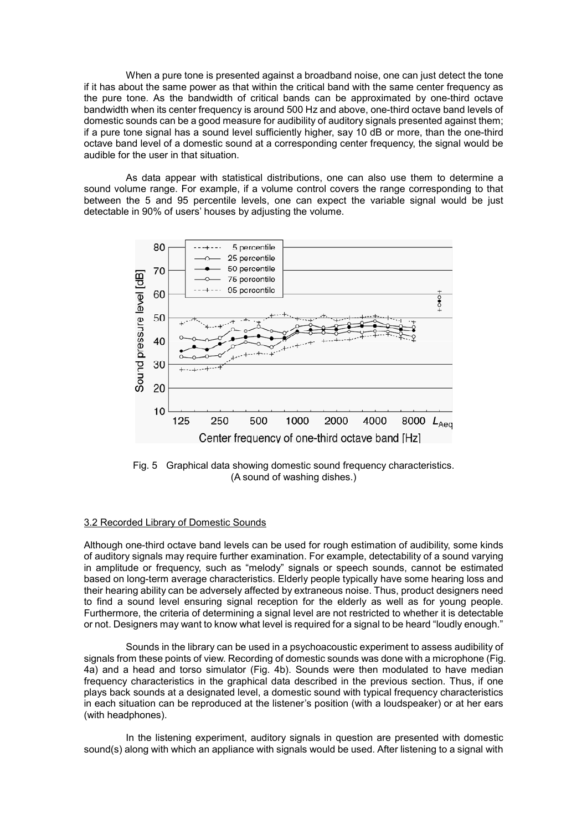When a pure tone is presented against a broadband noise, one can just detect the tone if it has about the same power as that within the critical band with the same center frequency as the pure tone. As the bandwidth of critical bands can be approximated by one-third octave bandwidth when its center frequency is around 500 Hz and above, one-third octave band levels of domestic sounds can be a good measure for audibility of auditory signals presented against them; if a pure tone signal has a sound level sufficiently higher, say 10 dB or more, than the one-third octave band level of a domestic sound at a corresponding center frequency, the signal would be audible for the user in that situation.

As data appear with statistical distributions, one can also use them to determine a sound volume range. For example, if a volume control covers the range corresponding to that between the 5 and 95 percentile levels, one can expect the variable signal would be just detectable in 90% of users' houses by adjusting the volume.



Fig. 5 Graphical data showing domestic sound frequency characteristics. (A sound of washing dishes.)

### 3.2 Recorded Library of Domestic Sounds

Although one-third octave band levels can be used for rough estimation of audibility, some kinds of auditory signals may require further examination. For example, detectability of a sound varying in amplitude or frequency, such as "melody" signals or speech sounds, cannot be estimated based on long-term average characteristics. Elderly people typically have some hearing loss and their hearing ability can be adversely affected by extraneous noise. Thus, product designers need to find a sound level ensuring signal reception for the elderly as well as for young people. Furthermore, the criteria of determining a signal level are not restricted to whether it is detectable or not. Designers may want to know what level is required for a signal to be heard "loudly enough."

Sounds in the library can be used in a psychoacoustic experiment to assess audibility of signals from these points of view. Recording of domestic sounds was done with a microphone (Fig. 4a) and a head and torso simulator (Fig. 4b). Sounds were then modulated to have median frequency characteristics in the graphical data described in the previous section. Thus, if one plays back sounds at a designated level, a domestic sound with typical frequency characteristics in each situation can be reproduced at the listener's position (with a loudspeaker) or at her ears (with headphones).

In the listening experiment, auditory signals in question are presented with domestic sound(s) along with which an appliance with signals would be used. After listening to a signal with